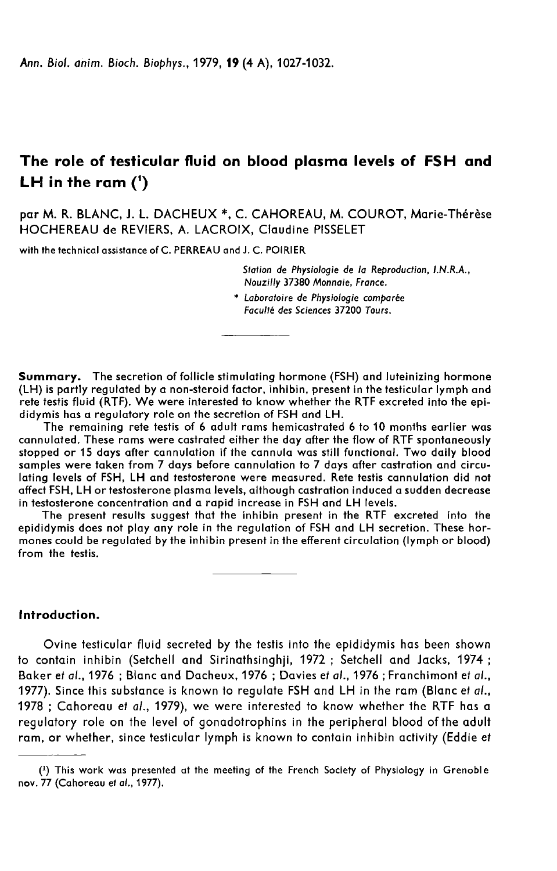# The role of testicular fluid on blood plasma levels of FSH and LH in the ram  $(1)$

par M. R. BLANC, J. L. DACHEUX \*, C. CAHOREAU, M. COUROT, Marie-Thérèse HOCHEREAU de REVIERS, A. LACROIX, Claudine PISSELET

with the technical assistance of C. PERREAU and J. C. POIRIER

Station de Physiologie de la Reproduction, LN.R.A., Nouzilly 37380 Monnaie, France.

\* Laboratoire de Physiologie comparée Faculté des Sciences 37200 Tours.

Summary. The secretion of follicle stimulating hormone (FSH) and luteinizing hormone (LH) is partly regulated by a non-steroid factor, inhibin, present in the testicular lymph and rete testis fluid (RTF). We were interested to know whether the RTF excreted into the epididymis has a regulatory role on the secretion of FSH and LH.

The remaining rete testis of 6 adult rams hemicastrated 6 to 10 months earlier was cannulated. These rams were castrated either the day after the flow of RTF spontaneously stopped or 15 days after cannulation if the cannula was still functional. Two daily blood samples were taken from 7 days before cannulation to 7 days after castration and circulating levels of FSH, LH and testosterone were measured. Rete testis cannulation did not affect FSH, LH or testosterone plasma levels, although castration induced a sudden decrease in testosterone concentration and a rapid increase in FSH and LH levels.

The present results suggest that the inhibin present in the RTF excreted into the epididymis does not play any role in the regulation of FSH and LH secretion. These hormones could be regulated by the inhibin present in the efferent circulation (lymph or blood) from the testis.

### Introduction.

Ovine testicular fluid secreted by the testis into the epididymis has been shown to contain inhibin (Setchell and Sirinathsinghji, 1972 ; Setchell and Jacks, 1974 ; Baker et al., 1976 ; Blanc and Dacheux, 1976 ; Davies et al., 1976 ; Franchimont et al., 1977). Since this substance is known to regulate FSH and LH in the ram (Blanc et al., 1978; Cahoreau et al., 1979), we were interested to know whether the RTF has a regulatory role on the level of gonadotrophins in the peripheral blood of the adult ram, or whether, since testicular lymph is known to contain inhibin activity (Eddie et

<sup>(1)</sup> This work was presented at the meeting of the French Society of Physiology in Grenoble e nov. 77 (Cahoreau et al., 1977).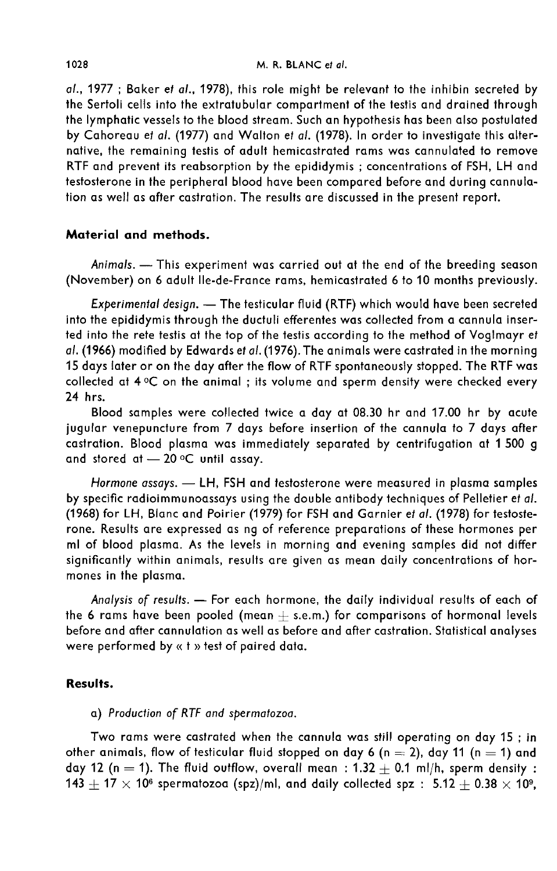al., 1977 ; Baker et al., 1978), this role might be relevant to the inhibin secreted by the Sertoli cells into the extratubular compartment of the testis and drained through the lymphatic vessels to the blood stream. Such an hypothesis has been also postulated by Cahoreau et al. (1977) and Walton et al. (1978). In order to investigate this alternative, the remaining testis of adult hemicastrated rams was cannulated to remove RTF and prevent its reabsorption by the epididymis ; concentrations of FSH, LH and testosterone in the peripheral blood have been compared before and during cannulation as well as after castration. The results are discussed in the present report.

## Material and methods.

Animals. - This experiment was carried out at the end of the breeding season (November) on 6 adult Ile-de-France rams, hemicastrated 6 to 10 months previously.

Experimental design. - The testicular fluid (RTF) which would have been secreted into the epididymis through the ductuli efferentes was collected from a cannula inserted into the rete testis at the top of the testis according to the method of Voglmayr et al. (1966) modified by Edwards et al. (1976). The animals were castrated in the morning 15 days later or on the day after the flow of RTF spontaneously stopped. The RTF was collected at  $4^{\circ}$ C on the animal ; its volume and sperm density were checked every 24 hrs.

Blood samples were collected twice a day at 08.30 hr and 17.00 hr by acute jugular venepuncture from 7 days before insertion of the cannula to 7 days after castration. Blood plasma was immediately separated by centrifugation at 1 500 g and stored at  $-20$  °C until assay.

Hormone assays. - LH, FSH and testosterone were measured in plasma samples by specific radioimmunoassays using the double antibody techniques of Pelletier et at. (1968) for LH, Blanc and Poirier (1979) for FSH and Garnier et al. (1978) for testosterone. Results are expressed as ng of reference preparations of these hormones per ml of blood plasma. As the levels in morning and evening samples did not differ significantly within animals, results are given as mean daily concentrations of hormones in the plasma.

Analysis of results. - For each hormone, the daily individual results of each of the 6 rams have been pooled (mean  $+$  s.e.m.) for comparisons of hormonal levels before and after cannulation as well as before and after castration. Statistical analyses were performed by « t » test of paired data.

#### Results.

a) Production of RTF and spermatozoa.

Two rams were castrated when the cannula was still operating on day 15 ; in other animals, flow of testicular fluid stopped on day 6 (n = 2), day 11 (n = 1) and day 12 (n = 1). The fluid outflow, overall mean :  $1.32 + 0.1$  ml/h, sperm density :  $143 + 17 \times 10^6$  spermatozoa (spz)/ml, and daily collected spz :  $5.12 \pm 0.38 \times 10^9$ ,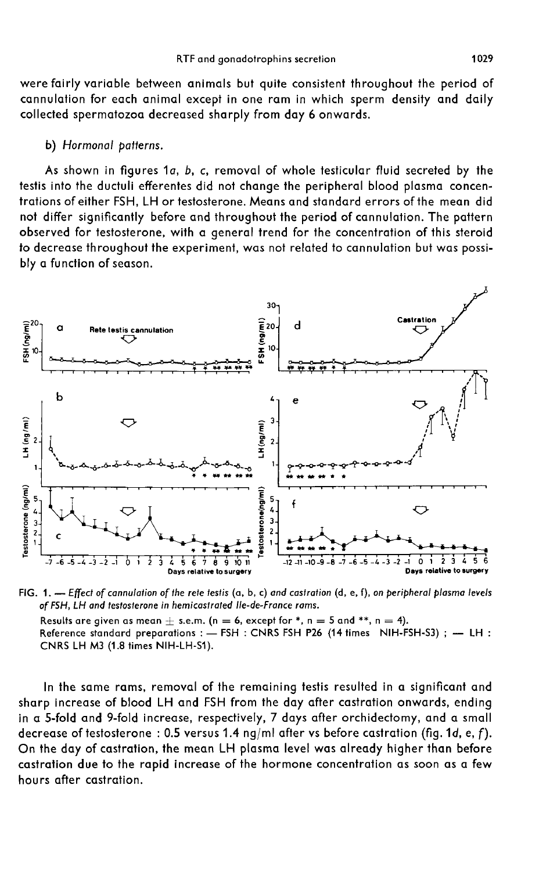were fairly variable between animals but quite consistent throughout the period of cannulation for each animal except in one ram in which sperm density and daily collected spermatozoa decreased sharply from day 6 onwards.

#### b) Hormonal patterns.

As shown in figures 1a, b, c, removal of whole testicular fluid secreted by the testis into the ductuli efferentes did not change the peripheral blood plasma concentrations of either FSH, LH or testosterone. Means and standard errors of the mean did not differ significantly before and throughout the period of cannulation. The pattern observed for testosterone, with a general trend for the concentration of this steroid to decrease throughout the experiment, was not related to cannulation but was possibly a function of season.



FIG, 1,  $-$  Effect of cannulation of the rete testis (a, b, c) and castration (d, e, f), on peripheral plasma levels of FSH, LH and testosterone in hemicastrated Ile-de-France rams.

Results are given as mean  $+$  s.e.m. (n = 6, except for \*, n = 5 and \*\*, n = 4). Reference standard preparations : - FSH : CNRS FSH P26 (14 times NIH-FSH-S3) ; - LH : CNRS LH M3 (1.8 times NIH-LH-S1).

In the same rams, removal of the remaining testis resulted in a significant and sharp increase of blood LH and FSH from the day after castration onwards, ending in a 5-fold and 9-fold increase, respectively, 7 days after orchidectomy, and a small decrease of testosterone : 0.5 versus 1.4 ng/ml after vs before castration (fig.1d, e, f). On the day of castration, the mean LH plasma level was already higher than before castration due to the rapid increase of the hormone concentration as soon as a few hours after castration.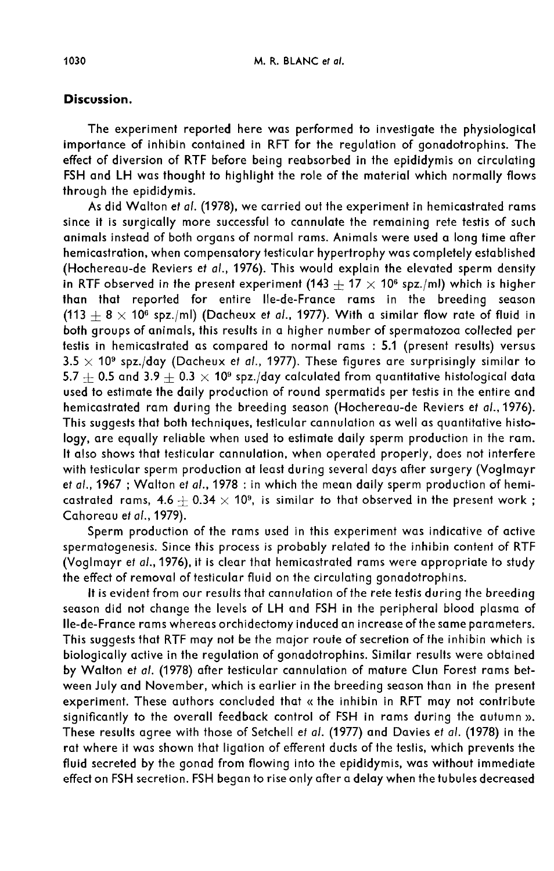### Discussion.

The experiment reported here was performed to investigate the physiological importance of inhibin contained in RFT for the regulation of gonadotrophins. The effect of diversion of RTF before being reabsorbed in the epididymis on circulating FSH and LH was thought to highlight the role of the material which normally flows through the epididymis.

As did Walton et al. (1978), we carried out the experiment in hemicastrated rams since it is surgically more successful to cannulate the remaining rete testis of such animals instead of both organs of normal rams. Animals were used a long time after hemicastration, when compensatory testicular hypertrophy was completely established (Hochereau-de Reviers et al., 1976). This would explain the elevated sperm density in RTF observed in the present experiment (143  $+$  17  $\times$  10<sup>6</sup> spz./ml) which is higher than that reported for entire Ile-de-France rams in the breeding season (113  $+8 \times 10^6$  spz./ml) (Dacheux et al., 1977). With a similar flow rate of fluid in both groups of animals, this results in a higher number of spermatozoa collected per testis in hemicastrated as compared to normal rams : 5.1 (present results) versus  $3.5 \times 10^9$  spz./day (Dacheux et al., 1977). These figures are surprisingly similar to 5.7  $+$  0.5 and 3.9  $+$  0.3  $\times$  10<sup>9</sup> spz./day calculated from quantitative histological data used to estimate the daily production of round spermatids per testis in the entire and hemicastrated ram during the breeding season (Hochereau-de Reviers et al.,1976). This suggests that both techniques, testicular cannulation as well as quantitative histology, are equally reliable when used to estimate daily sperm production in the ram. It also shows that testicular cannulation, when operated properly, does not interfere with testicular sperm production at least during several days after surgery (Voglmayr et al., 1967 ; Walton et al., 1978 : in which the mean daily sperm production of hemicastrated rams,  $4.6 + 0.34 \times 10^9$ , is similar to that observed in the present work; Cahoreau et al., 1979).

Sperm production of the rams used in this experiment was indicative of active spermatogenesis. Since this process is probably related to the inhibin content of RTF (Voglmayr et al., 1976), it is clear that hemicastrated rams were appropriate to study the effect of removal of testicular fluid on the circulating gonadotrophins.

It is evident from our results that cannulation of the rete testis during the breeding season did not change the levels of LH and FSH in the peripheral blood plasma of Ile-de-France rams whereas orchidectomy induced an increase of the same parameters. This suggests that RTF may not be the major route of secretion of the inhibin which is biologically active in the regulation of gonadotrophins. Similar results were obtained by Walton et al. (1978) after testicular cannulation of mature Clun Forest rams between July and November, which is earlier in the breeding season than in the present experiment. These authors concluded that « the inhibin in RFT may not contribute significantly to the overall feedback control of FSH in rams during the autumn ». These results agree with those of Setchell et al. (1977) and Davies et al. (1978) in the rat where it was shown that ligation of efferent ducts of the testis, which prevents the fluid secreted by the gonad from flowing into the epididymis, was without immediate effect on FSH secretion. FSH began to rise only after a delay when the tubules decreased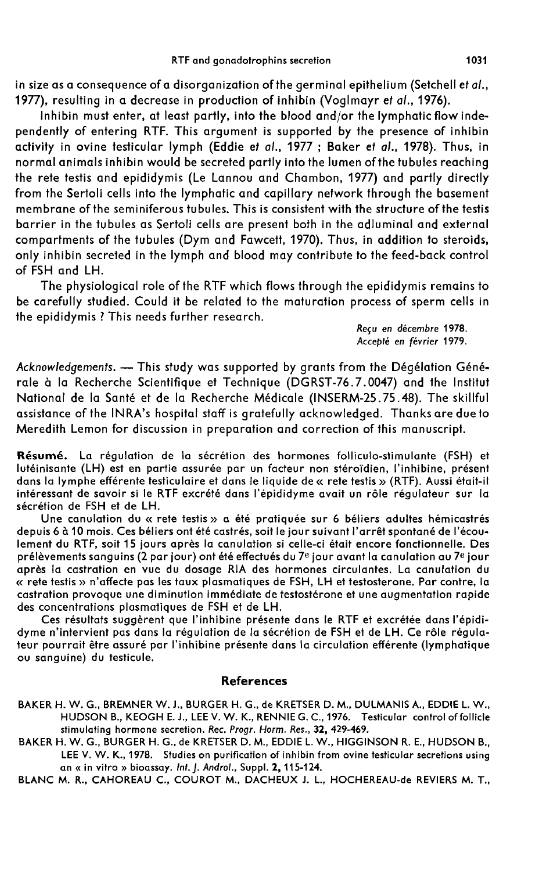in size as a consequence of a disorganization of the germinal epithelium (Setchell et  $al.,$ 1977), resulting in a decrease in production of inhibin (Voglmayr et al., 1976).

Inhibin must enter, at least partly, into the blood and/or the lymphatic flow independently of entering RTF. This argument is supported by the presence of inhibin activity in ovine testicular lymph (Eddie et al., 1977 ; Baker et al., 1978). Thus, in normal animals inhibin would be secreted partly into the lumen ofthe tubules reaching the rete testis and epididymis (Le Lannou and Chambon, 1977) and partly directly from the Sertoli cells into the lymphatic and capillary network through the basement membrane of the seminiferous tubules. This is consistent with the structure of the testis barrier in the tubules as Sertoli cells are present both in the adluminal and external compartments of the tubules (Dym and Fawcett, 1970). Thus, in addition to steroids, only inhibin secreted in the lymph and blood may contribute to the feed-back control of FSH and LH.

The physiological role of the RTF which flows through the epididymis remains to be carefully studied. Could it be related to the maturation process of sperm cells in the epididymis ? This needs further research.

> Recu en décembre 1978. Accepté en février 1979.

Acknowledgements. - This study was supported by grants from the Dégélation Générale à la Recherche Scientifique et Technique (DGRST-76.7.0047) and the Institut National de la Santé et de la Recherche Médicale (INSERM-25.75.48). The skillful assistance of the INRA's hospital staff is gratefully acknowledged. Thanks are due to Meredith Lemon for discussion in preparation and correction of this manuscript.

Résumé. La régulation de la sécrétion des hormones folliculo-stimulante (FSH) et lutéinisante (LH) est en partie assurée par un facteur non stéroïdien, l'inhibine, présent dans la lymphe efférente testiculaire et dans le liquide de « rete testis » (RTF). Aussi était-il intéressant de savoir si le RTF excrété dans l'épididyme avait un rôle régulateur sur la sécrétion de FSH et de LH.

Une canulation du « rete testis » a été pratiquée sur 6 béliers adultes hémicastrés depuis 6 à 10 mois. Ces béliers ont été castrés, soit le jour suivant l'arrêt spontané de l'écoulement du RTF, soit 15 jours après la canulation si celle-ci était encore fonctionnelle. Des prélèvements sanguins (2 par jour) ont été effectués du  $7^e$  jour avant la canulation au  $7^e$  jour après la castration en vue du dosage RIA des hormones circulantes. La canulation du « rete testis » n'affecte pas les taux plasmatiques de FSH, LH et testosterone. Par contre, la castration provoque une diminution immédiate de testostérone et une augmentation rapide des concentrations plasmatiques de FSH et de LH.

Ces résultats suggèrent que l'inhibine présente dans le RTF et excrétée dans l'épididyme n'intervient pas dans la régulation de la sécrétion de FSH et de LH. Ce rôle régula teur pourrait être assuré par l'inhibine présente dans la circulation efférente (lymphatique ou sanguine) du testicule.

#### References

- BAKER H. W. G., BREMNER W. J., BURGER H. G., de KRETSER D. M., DULMANIS A., EDDIE L. W., HUDSON B., KEOGH E. J., LEE V. W. K., RENNIE G. C., 1976. Testicular control of follicle stimulating hormone secretion. Rec. Progr. Horm. Res., 32, 429-469.
- BAKER H. W. G., BURGER H. G., de KRETSER D. M., EDDIE L. W., HIGGINSON R. E., HUDSON B., LEE V. W. K., 1978. Studies on purification of inhibin from ovine testicular secretions using<br>an « in vitro » bioassay. Int. [, Androl., Suppl. 2, 115-124.

BLANC M. R., CAHOREAU C., COUROT M., DACHEUX J. L., HOCHEREAU-de REVIERS M. T.,